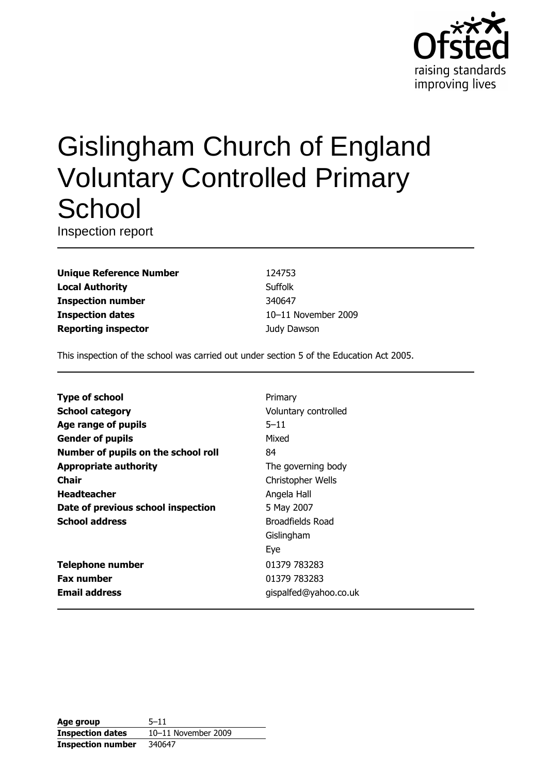

# **Gislingham Church of England Voluntary Controlled Primary** School

Inspection report

**Unique Reference Number Local Authority Inspection number Inspection dates Reporting inspector** 

124753 Suffolk 340647 10-11 November 2009 Judy Dawson

This inspection of the school was carried out under section 5 of the Education Act 2005.

| <b>Type of school</b>               | Primary               |
|-------------------------------------|-----------------------|
| <b>School category</b>              | Voluntary controlled  |
| Age range of pupils                 | $5 - 11$              |
| <b>Gender of pupils</b>             | Mixed                 |
| Number of pupils on the school roll | 84                    |
| <b>Appropriate authority</b>        | The governing body    |
| Chair                               | Christopher Wells     |
| <b>Headteacher</b>                  | Angela Hall           |
| Date of previous school inspection  | 5 May 2007            |
| <b>School address</b>               | Broadfields Road      |
|                                     | Gislingham            |
|                                     | Eye                   |
| <b>Telephone number</b>             | 01379 783283          |
| <b>Fax number</b>                   | 01379 783283          |
| <b>Email address</b>                | gispalfed@yahoo.co.uk |
|                                     |                       |

| Age group               | $5 - 11$            |
|-------------------------|---------------------|
| <b>Inspection dates</b> | 10-11 November 2009 |
| Inspection number       | 340647              |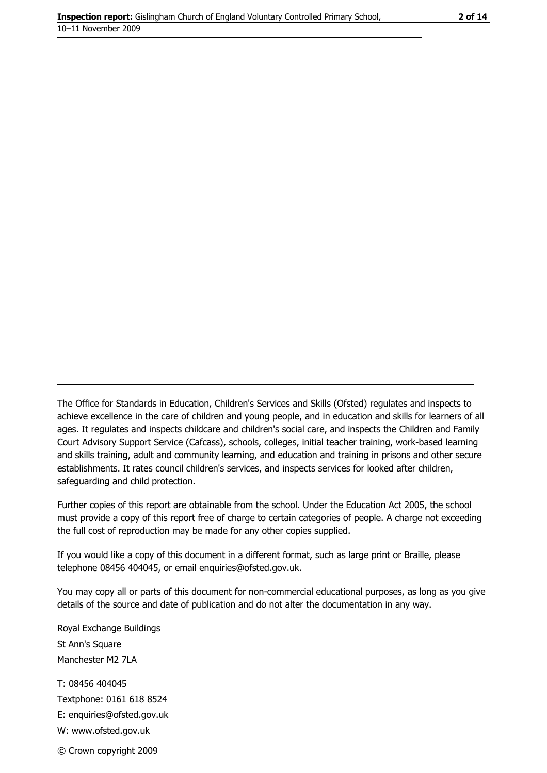The Office for Standards in Education, Children's Services and Skills (Ofsted) regulates and inspects to achieve excellence in the care of children and young people, and in education and skills for learners of all ages. It regulates and inspects childcare and children's social care, and inspects the Children and Family Court Advisory Support Service (Cafcass), schools, colleges, initial teacher training, work-based learning and skills training, adult and community learning, and education and training in prisons and other secure establishments. It rates council children's services, and inspects services for looked after children, safequarding and child protection.

Further copies of this report are obtainable from the school. Under the Education Act 2005, the school must provide a copy of this report free of charge to certain categories of people. A charge not exceeding the full cost of reproduction may be made for any other copies supplied.

If you would like a copy of this document in a different format, such as large print or Braille, please telephone 08456 404045, or email enquiries@ofsted.gov.uk.

You may copy all or parts of this document for non-commercial educational purposes, as long as you give details of the source and date of publication and do not alter the documentation in any way.

Royal Exchange Buildings St Ann's Square Manchester M2 7LA T: 08456 404045 Textphone: 0161 618 8524 E: enquiries@ofsted.gov.uk W: www.ofsted.gov.uk © Crown copyright 2009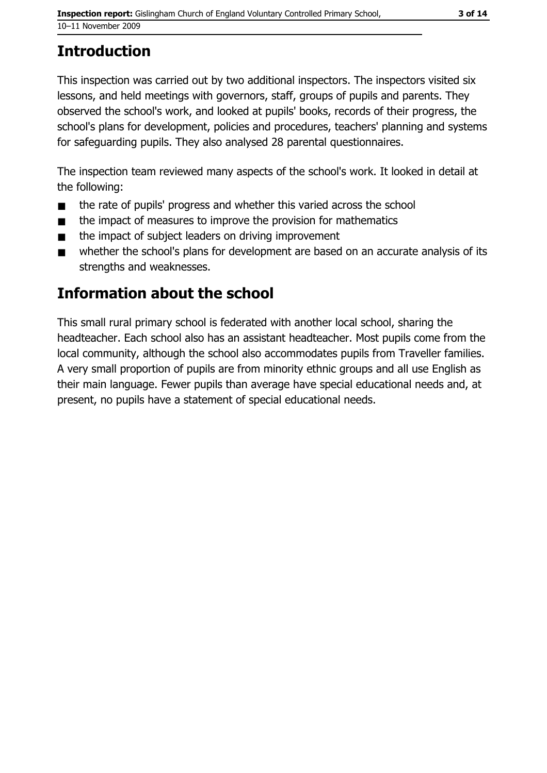## **Introduction**

This inspection was carried out by two additional inspectors. The inspectors visited six lessons, and held meetings with governors, staff, groups of pupils and parents. They observed the school's work, and looked at pupils' books, records of their progress, the school's plans for development, policies and procedures, teachers' planning and systems for safeguarding pupils. They also analysed 28 parental questionnaires.

The inspection team reviewed many aspects of the school's work. It looked in detail at the following:

- the rate of pupils' progress and whether this varied across the school  $\blacksquare$
- the impact of measures to improve the provision for mathematics  $\blacksquare$
- the impact of subject leaders on driving improvement
- whether the school's plans for development are based on an accurate analysis of its  $\blacksquare$ strengths and weaknesses.

## Information about the school

This small rural primary school is federated with another local school, sharing the headteacher. Each school also has an assistant headteacher. Most pupils come from the local community, although the school also accommodates pupils from Traveller families. A very small proportion of pupils are from minority ethnic groups and all use English as their main language. Fewer pupils than average have special educational needs and, at present, no pupils have a statement of special educational needs.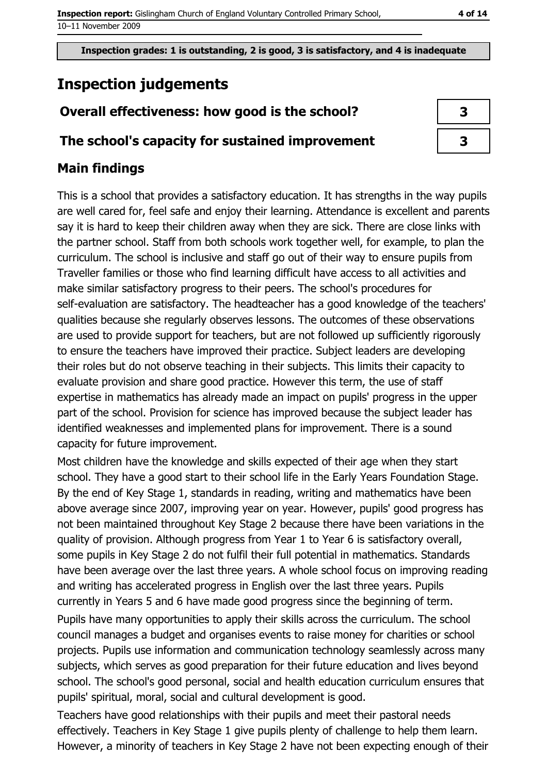# **Inspection judgements**

## Overall effectiveness: how good is the school?

## The school's capacity for sustained improvement

## **Main findings**

This is a school that provides a satisfactory education. It has strengths in the way pupils are well cared for, feel safe and enjoy their learning. Attendance is excellent and parents say it is hard to keep their children away when they are sick. There are close links with the partner school. Staff from both schools work together well, for example, to plan the curriculum. The school is inclusive and staff go out of their way to ensure pupils from Traveller families or those who find learning difficult have access to all activities and make similar satisfactory progress to their peers. The school's procedures for self-evaluation are satisfactory. The headteacher has a good knowledge of the teachers' qualities because she regularly observes lessons. The outcomes of these observations are used to provide support for teachers, but are not followed up sufficiently rigorously to ensure the teachers have improved their practice. Subject leaders are developing their roles but do not observe teaching in their subjects. This limits their capacity to evaluate provision and share good practice. However this term, the use of staff expertise in mathematics has already made an impact on pupils' progress in the upper part of the school. Provision for science has improved because the subject leader has identified weaknesses and implemented plans for improvement. There is a sound capacity for future improvement.

Most children have the knowledge and skills expected of their age when they start school. They have a good start to their school life in the Early Years Foundation Stage. By the end of Key Stage 1, standards in reading, writing and mathematics have been above average since 2007, improving year on year. However, pupils' good progress has not been maintained throughout Key Stage 2 because there have been variations in the quality of provision. Although progress from Year 1 to Year 6 is satisfactory overall, some pupils in Key Stage 2 do not fulfil their full potential in mathematics. Standards have been average over the last three years. A whole school focus on improving reading and writing has accelerated progress in English over the last three years. Pupils currently in Years 5 and 6 have made good progress since the beginning of term.

Pupils have many opportunities to apply their skills across the curriculum. The school council manages a budget and organises events to raise money for charities or school projects. Pupils use information and communication technology seamlessly across many subjects, which serves as good preparation for their future education and lives beyond school. The school's good personal, social and health education curriculum ensures that pupils' spiritual, moral, social and cultural development is good.

Teachers have good relationships with their pupils and meet their pastoral needs effectively. Teachers in Key Stage 1 give pupils plenty of challenge to help them learn. However, a minority of teachers in Key Stage 2 have not been expecting enough of their

| 3 |  |
|---|--|
| 3 |  |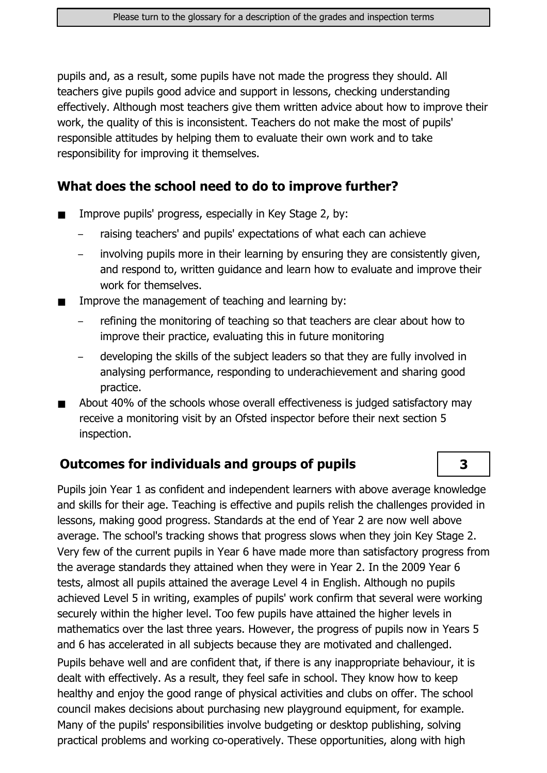pupils and, as a result, some pupils have not made the progress they should. All teachers give pupils good advice and support in lessons, checking understanding effectively. Although most teachers give them written advice about how to improve their work, the quality of this is inconsistent. Teachers do not make the most of pupils' responsible attitudes by helping them to evaluate their own work and to take responsibility for improving it themselves.

#### What does the school need to do to improve further?

- Improve pupils' progress, especially in Key Stage 2, by:  $\blacksquare$ 
	- raising teachers' and pupils' expectations of what each can achieve
	- involving pupils more in their learning by ensuring they are consistently given, and respond to, written quidance and learn how to evaluate and improve their work for themselves.
- Improve the management of teaching and learning by:
	- refining the monitoring of teaching so that teachers are clear about how to improve their practice, evaluating this in future monitoring
	- developing the skills of the subject leaders so that they are fully involved in analysing performance, responding to underachievement and sharing good practice.
- About 40% of the schools whose overall effectiveness is judged satisfactory may receive a monitoring visit by an Ofsted inspector before their next section 5 inspection.

#### **Outcomes for individuals and groups of pupils**

Pupils join Year 1 as confident and independent learners with above average knowledge and skills for their age. Teaching is effective and pupils relish the challenges provided in lessons, making good progress. Standards at the end of Year 2 are now well above average. The school's tracking shows that progress slows when they join Key Stage 2. Very few of the current pupils in Year 6 have made more than satisfactory progress from the average standards they attained when they were in Year 2. In the 2009 Year 6 tests, almost all pupils attained the average Level 4 in English. Although no pupils achieved Level 5 in writing, examples of pupils' work confirm that several were working securely within the higher level. Too few pupils have attained the higher levels in mathematics over the last three years. However, the progress of pupils now in Years 5 and 6 has accelerated in all subjects because they are motivated and challenged.

Pupils behave well and are confident that, if there is any inappropriate behaviour, it is dealt with effectively. As a result, they feel safe in school. They know how to keep healthy and enjoy the good range of physical activities and clubs on offer. The school council makes decisions about purchasing new playground equipment, for example. Many of the pupils' responsibilities involve budgeting or desktop publishing, solving practical problems and working co-operatively. These opportunities, along with high

 $\overline{\mathbf{3}}$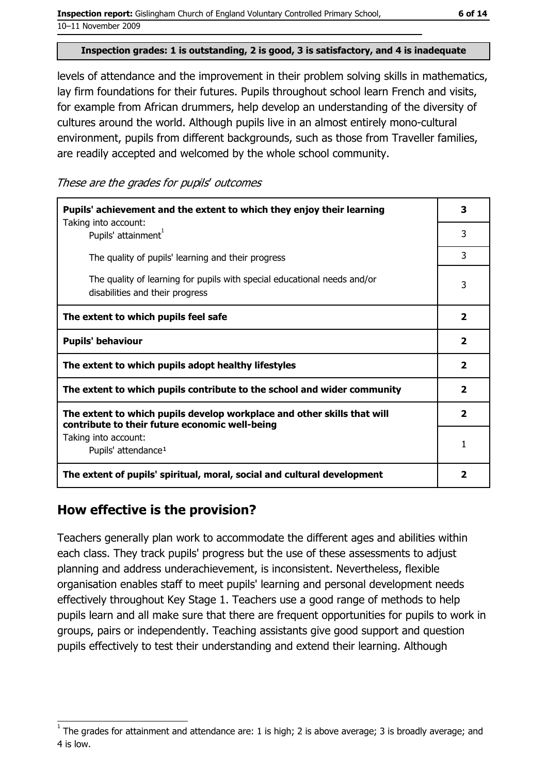levels of attendance and the improvement in their problem solving skills in mathematics, lay firm foundations for their futures. Pupils throughout school learn French and visits, for example from African drummers, help develop an understanding of the diversity of cultures around the world. Although pupils live in an almost entirely mono-cultural environment, pupils from different backgrounds, such as those from Traveller families, are readily accepted and welcomed by the whole school community.

These are the grades for pupils' outcomes

| Pupils' achievement and the extent to which they enjoy their learning<br>Taking into account:                             | з                       |
|---------------------------------------------------------------------------------------------------------------------------|-------------------------|
| Pupils' attainment <sup>1</sup>                                                                                           | 3                       |
| The quality of pupils' learning and their progress                                                                        | 3                       |
| The quality of learning for pupils with special educational needs and/or<br>disabilities and their progress               | 3                       |
| The extent to which pupils feel safe                                                                                      | $\overline{\mathbf{2}}$ |
| <b>Pupils' behaviour</b>                                                                                                  | $\overline{\mathbf{2}}$ |
| The extent to which pupils adopt healthy lifestyles                                                                       | $\overline{\mathbf{2}}$ |
| The extent to which pupils contribute to the school and wider community                                                   | $\overline{\mathbf{2}}$ |
| The extent to which pupils develop workplace and other skills that will<br>contribute to their future economic well-being | $\overline{\mathbf{2}}$ |
| Taking into account:<br>Pupils' attendance <sup>1</sup>                                                                   | 1                       |
| The extent of pupils' spiritual, moral, social and cultural development                                                   | 2                       |

## How effective is the provision?

Teachers generally plan work to accommodate the different ages and abilities within each class. They track pupils' progress but the use of these assessments to adjust planning and address underachievement, is inconsistent. Nevertheless, flexible organisation enables staff to meet pupils' learning and personal development needs effectively throughout Key Stage 1. Teachers use a good range of methods to help pupils learn and all make sure that there are frequent opportunities for pupils to work in groups, pairs or independently. Teaching assistants give good support and question pupils effectively to test their understanding and extend their learning. Although

The grades for attainment and attendance are: 1 is high; 2 is above average; 3 is broadly average; and 4 is low.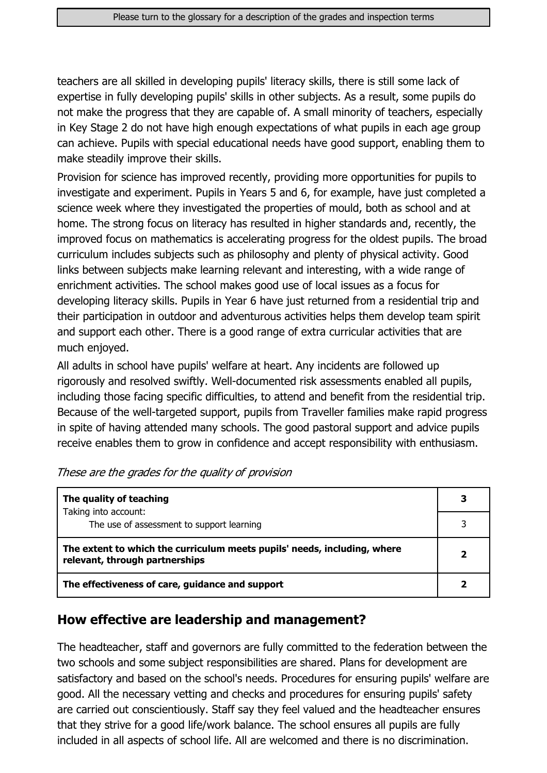teachers are all skilled in developing pupils' literacy skills, there is still some lack of expertise in fully developing pupils' skills in other subjects. As a result, some pupils do not make the progress that they are capable of. A small minority of teachers, especially in Key Stage 2 do not have high enough expectations of what pupils in each age group can achieve. Pupils with special educational needs have good support, enabling them to make steadily improve their skills.

Provision for science has improved recently, providing more opportunities for pupils to investigate and experiment. Pupils in Years 5 and 6, for example, have just completed a science week where they investigated the properties of mould, both as school and at home. The strong focus on literacy has resulted in higher standards and, recently, the improved focus on mathematics is accelerating progress for the oldest pupils. The broad curriculum includes subjects such as philosophy and plenty of physical activity. Good links between subjects make learning relevant and interesting, with a wide range of enrichment activities. The school makes good use of local issues as a focus for developing literacy skills. Pupils in Year 6 have just returned from a residential trip and their participation in outdoor and adventurous activities helps them develop team spirit and support each other. There is a good range of extra curricular activities that are much enjoyed.

All adults in school have pupils' welfare at heart. Any incidents are followed up rigorously and resolved swiftly. Well-documented risk assessments enabled all pupils, including those facing specific difficulties, to attend and benefit from the residential trip. Because of the well-targeted support, pupils from Traveller families make rapid progress in spite of having attended many schools. The good pastoral support and advice pupils receive enables them to grow in confidence and accept responsibility with enthusiasm.

| The quality of teaching                                                                                    | 3 |
|------------------------------------------------------------------------------------------------------------|---|
| Taking into account:<br>The use of assessment to support learning                                          |   |
|                                                                                                            |   |
| The extent to which the curriculum meets pupils' needs, including, where<br>relevant, through partnerships | 2 |
| The effectiveness of care, guidance and support                                                            |   |

#### How effective are leadership and management?

The headteacher, staff and governors are fully committed to the federation between the two schools and some subject responsibilities are shared. Plans for development are satisfactory and based on the school's needs. Procedures for ensuring pupils' welfare are good. All the necessary vetting and checks and procedures for ensuring pupils' safety are carried out conscientiously. Staff say they feel valued and the headteacher ensures that they strive for a good life/work balance. The school ensures all pupils are fully included in all aspects of school life. All are welcomed and there is no discrimination.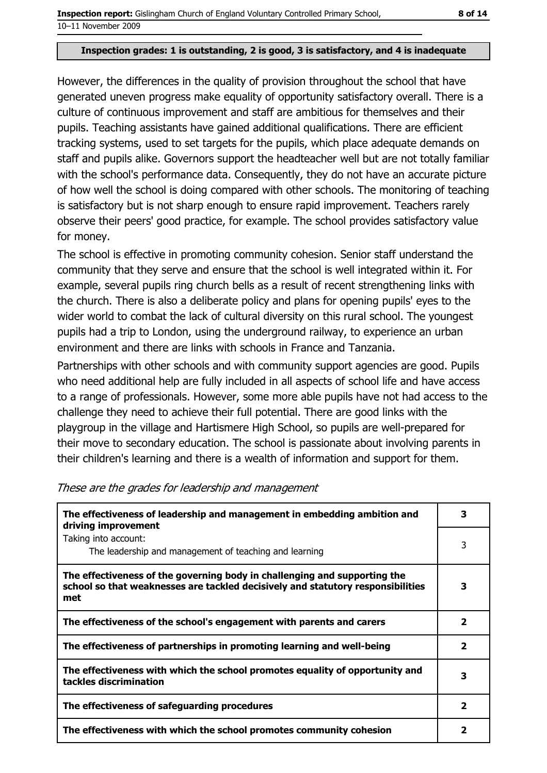#### Inspection grades: 1 is outstanding, 2 is good, 3 is satisfactory, and 4 is inadequate

However, the differences in the quality of provision throughout the school that have generated uneven progress make equality of opportunity satisfactory overall. There is a culture of continuous improvement and staff are ambitious for themselves and their pupils. Teaching assistants have gained additional qualifications. There are efficient tracking systems, used to set targets for the pupils, which place adequate demands on staff and pupils alike. Governors support the headteacher well but are not totally familiar with the school's performance data. Consequently, they do not have an accurate picture of how well the school is doing compared with other schools. The monitoring of teaching is satisfactory but is not sharp enough to ensure rapid improvement. Teachers rarely observe their peers' good practice, for example. The school provides satisfactory value for money.

The school is effective in promoting community cohesion. Senior staff understand the community that they serve and ensure that the school is well integrated within it. For example, several pupils ring church bells as a result of recent strengthening links with the church. There is also a deliberate policy and plans for opening pupils' eyes to the wider world to combat the lack of cultural diversity on this rural school. The youngest pupils had a trip to London, using the underground railway, to experience an urban environment and there are links with schools in France and Tanzania.

Partnerships with other schools and with community support agencies are good. Pupils who need additional help are fully included in all aspects of school life and have access to a range of professionals. However, some more able pupils have not had access to the challenge they need to achieve their full potential. There are good links with the playgroup in the village and Hartismere High School, so pupils are well-prepared for their move to secondary education. The school is passionate about involving parents in their children's learning and there is a wealth of information and support for them.

| The effectiveness of leadership and management in embedding ambition and<br>driving improvement                                                                     | 3 |
|---------------------------------------------------------------------------------------------------------------------------------------------------------------------|---|
| Taking into account:<br>The leadership and management of teaching and learning                                                                                      |   |
| The effectiveness of the governing body in challenging and supporting the<br>school so that weaknesses are tackled decisively and statutory responsibilities<br>met | 3 |
| The effectiveness of the school's engagement with parents and carers                                                                                                | 2 |
| The effectiveness of partnerships in promoting learning and well-being                                                                                              | 2 |
| The effectiveness with which the school promotes equality of opportunity and<br>tackles discrimination                                                              | з |
| The effectiveness of safeguarding procedures                                                                                                                        | 2 |
| The effectiveness with which the school promotes community cohesion                                                                                                 | 2 |

These are the grades for leadership and management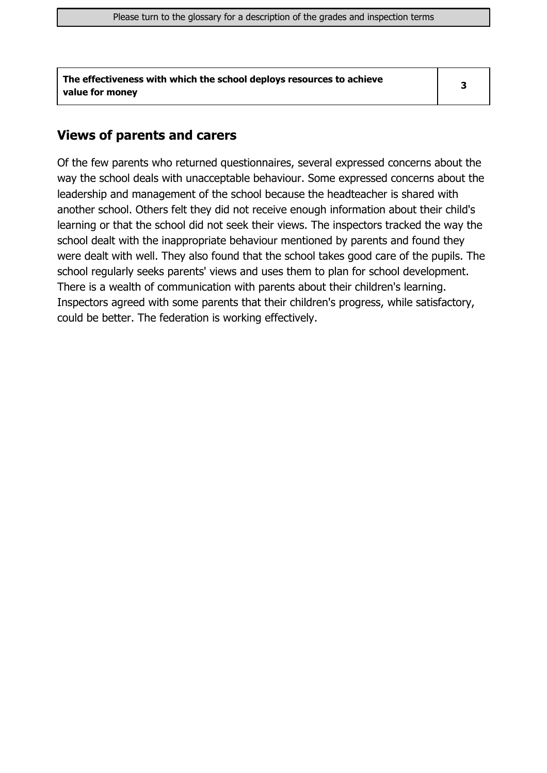| The effectiveness with which the school deploys resources to achieve |  |
|----------------------------------------------------------------------|--|
| value for money                                                      |  |

#### **Views of parents and carers**

Of the few parents who returned questionnaires, several expressed concerns about the way the school deals with unacceptable behaviour. Some expressed concerns about the leadership and management of the school because the headteacher is shared with another school. Others felt they did not receive enough information about their child's learning or that the school did not seek their views. The inspectors tracked the way the school dealt with the inappropriate behaviour mentioned by parents and found they were dealt with well. They also found that the school takes good care of the pupils. The school regularly seeks parents' views and uses them to plan for school development. There is a wealth of communication with parents about their children's learning. Inspectors agreed with some parents that their children's progress, while satisfactory, could be better. The federation is working effectively.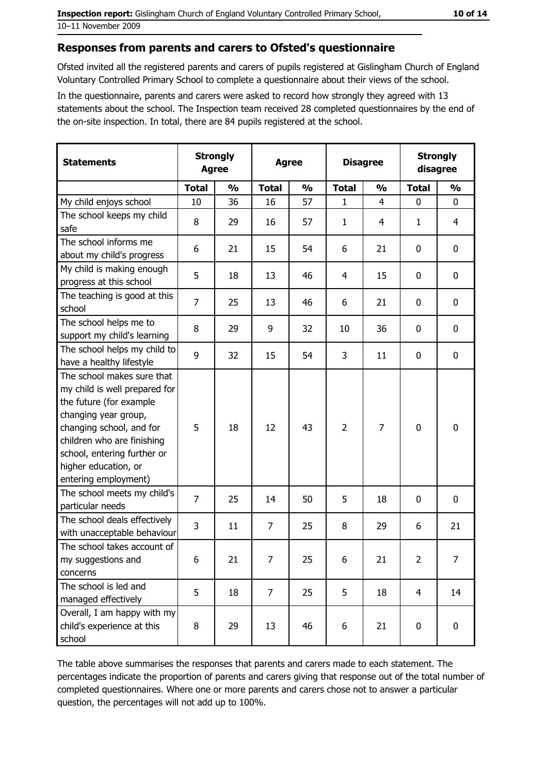#### Responses from parents and carers to Ofsted's questionnaire

Ofsted invited all the registered parents and carers of pupils registered at Gislingham Church of England Voluntary Controlled Primary School to complete a questionnaire about their views of the school.

In the questionnaire, parents and carers were asked to record how strongly they agreed with 13 statements about the school. The Inspection team received 28 completed questionnaires by the end of the on-site inspection. In total, there are 84 pupils registered at the school.

| <b>Statements</b>                                                                                                                                                                                                                                       | <b>Strongly</b><br><b>Agree</b> |               |                | <b>Agree</b>  | <b>Disagree</b> |                | <b>Strongly</b><br>disagree |                  |
|---------------------------------------------------------------------------------------------------------------------------------------------------------------------------------------------------------------------------------------------------------|---------------------------------|---------------|----------------|---------------|-----------------|----------------|-----------------------------|------------------|
|                                                                                                                                                                                                                                                         | <b>Total</b>                    | $\frac{0}{0}$ | <b>Total</b>   | $\frac{0}{0}$ | <b>Total</b>    | $\frac{0}{0}$  | <b>Total</b>                | $\frac{0}{0}$    |
| My child enjoys school                                                                                                                                                                                                                                  | 10                              | 36            | 16             | 57            | $\mathbf{1}$    | $\overline{4}$ | $\mathbf 0$                 | $\mathbf 0$      |
| The school keeps my child<br>safe                                                                                                                                                                                                                       | 8                               | 29            | 16             | 57            | $\mathbf{1}$    | 4              | 1                           | 4                |
| The school informs me<br>about my child's progress                                                                                                                                                                                                      | 6                               | 21            | 15             | 54            | 6               | 21             | 0                           | 0                |
| My child is making enough<br>progress at this school                                                                                                                                                                                                    | 5                               | 18            | 13             | 46            | 4               | 15             | 0                           | 0                |
| The teaching is good at this<br>school                                                                                                                                                                                                                  | 7                               | 25            | 13             | 46            | 6               | 21             | 0                           | 0                |
| The school helps me to<br>support my child's learning                                                                                                                                                                                                   | 8                               | 29            | 9              | 32            | 10              | 36             | 0                           | 0                |
| The school helps my child to<br>have a healthy lifestyle                                                                                                                                                                                                | 9                               | 32            | 15             | 54            | 3               | 11             | $\mathbf 0$                 | $\mathbf 0$      |
| The school makes sure that<br>my child is well prepared for<br>the future (for example<br>changing year group,<br>changing school, and for<br>children who are finishing<br>school, entering further or<br>higher education, or<br>entering employment) | 5                               | 18            | 12             | 43            | $\overline{2}$  | 7              | 0                           | $\mathbf 0$      |
| The school meets my child's<br>particular needs                                                                                                                                                                                                         | $\overline{7}$                  | 25            | 14             | 50            | 5               | 18             | 0                           | $\bf{0}$         |
| The school deals effectively<br>with unacceptable behaviour                                                                                                                                                                                             | 3                               | 11            | $\overline{7}$ | 25            | 8               | 29             | 6                           | 21               |
| The school takes account of<br>my suggestions and<br>concerns                                                                                                                                                                                           | 6                               | 21            | 7              | 25            | 6               | 21             | $\overline{2}$              | $\overline{7}$   |
| The school is led and<br>managed effectively                                                                                                                                                                                                            | 5                               | 18            | 7              | 25            | 5               | 18             | $\overline{4}$              | 14               |
| Overall, I am happy with my<br>child's experience at this<br>school                                                                                                                                                                                     | 8                               | 29            | 13             | 46            | 6               | 21             | 0                           | $\boldsymbol{0}$ |

The table above summarises the responses that parents and carers made to each statement. The percentages indicate the proportion of parents and carers giving that response out of the total number of completed questionnaires. Where one or more parents and carers chose not to answer a particular question, the percentages will not add up to 100%.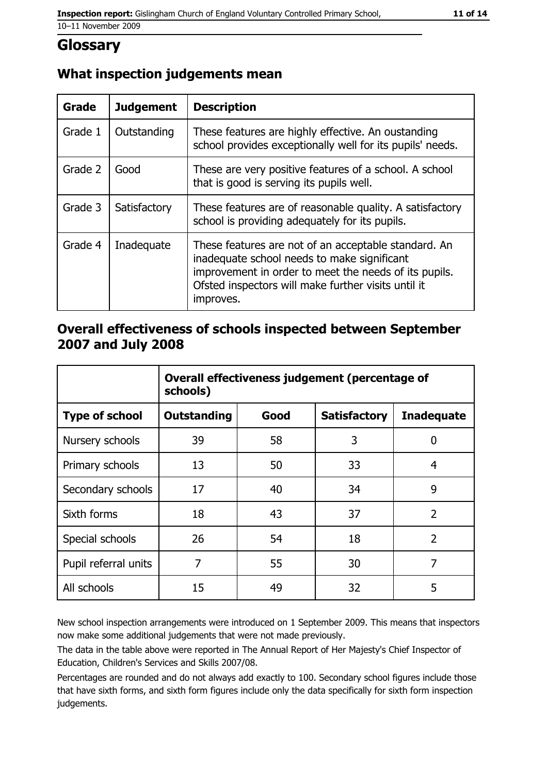## **Glossary**

### What inspection judgements mean

| <b>Grade</b> | <b>Judgement</b> | <b>Description</b>                                                                                                                                                                                                               |
|--------------|------------------|----------------------------------------------------------------------------------------------------------------------------------------------------------------------------------------------------------------------------------|
| Grade 1      | Outstanding      | These features are highly effective. An oustanding<br>school provides exceptionally well for its pupils' needs.                                                                                                                  |
| Grade 2      | Good             | These are very positive features of a school. A school<br>that is good is serving its pupils well.                                                                                                                               |
| Grade 3      | Satisfactory     | These features are of reasonable quality. A satisfactory<br>school is providing adequately for its pupils.                                                                                                                       |
| Grade 4      | Inadequate       | These features are not of an acceptable standard. An<br>inadequate school needs to make significant<br>improvement in order to meet the needs of its pupils.<br>Ofsted inspectors will make further visits until it<br>improves. |

#### Overall effectiveness of schools inspected between September 2007 and July 2008

|                       | Overall effectiveness judgement (percentage of<br>schools) |      |                     |                   |
|-----------------------|------------------------------------------------------------|------|---------------------|-------------------|
| <b>Type of school</b> | <b>Outstanding</b>                                         | Good | <b>Satisfactory</b> | <b>Inadequate</b> |
| Nursery schools       | 39                                                         | 58   | 3                   | 0                 |
| Primary schools       | 13                                                         | 50   | 33                  | 4                 |
| Secondary schools     | 17                                                         | 40   | 34                  | 9                 |
| Sixth forms           | 18                                                         | 43   | 37                  | $\overline{2}$    |
| Special schools       | 26                                                         | 54   | 18                  | $\overline{2}$    |
| Pupil referral units  | 7                                                          | 55   | 30                  | 7                 |
| All schools           | 15                                                         | 49   | 32                  | 5                 |

New school inspection arrangements were introduced on 1 September 2009. This means that inspectors now make some additional judgements that were not made previously.

The data in the table above were reported in The Annual Report of Her Majesty's Chief Inspector of Education, Children's Services and Skills 2007/08.

Percentages are rounded and do not always add exactly to 100. Secondary school figures include those that have sixth forms, and sixth form figures include only the data specifically for sixth form inspection judgements.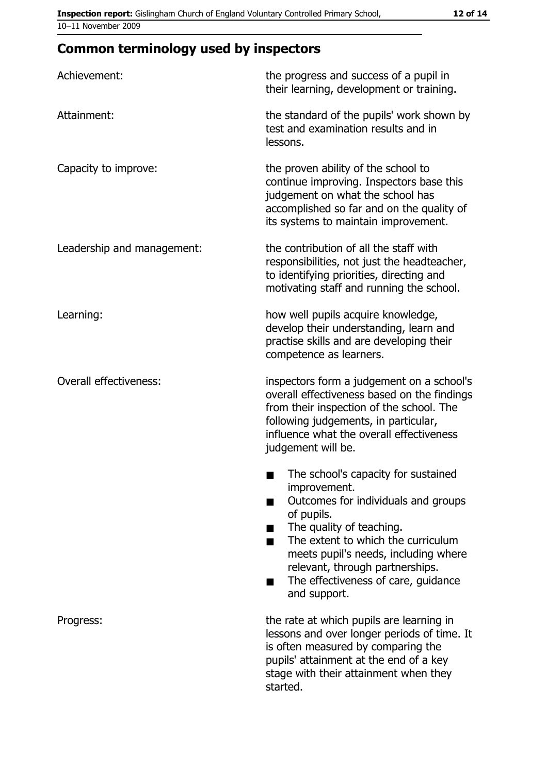## **Common terminology used by inspectors**

| Achievement:                  | the progress and success of a pupil in<br>their learning, development or training.                                                                                                                                                                                                                           |
|-------------------------------|--------------------------------------------------------------------------------------------------------------------------------------------------------------------------------------------------------------------------------------------------------------------------------------------------------------|
| Attainment:                   | the standard of the pupils' work shown by<br>test and examination results and in<br>lessons.                                                                                                                                                                                                                 |
| Capacity to improve:          | the proven ability of the school to<br>continue improving. Inspectors base this<br>judgement on what the school has<br>accomplished so far and on the quality of<br>its systems to maintain improvement.                                                                                                     |
| Leadership and management:    | the contribution of all the staff with<br>responsibilities, not just the headteacher,<br>to identifying priorities, directing and<br>motivating staff and running the school.                                                                                                                                |
| Learning:                     | how well pupils acquire knowledge,<br>develop their understanding, learn and<br>practise skills and are developing their<br>competence as learners.                                                                                                                                                          |
| <b>Overall effectiveness:</b> | inspectors form a judgement on a school's<br>overall effectiveness based on the findings<br>from their inspection of the school. The<br>following judgements, in particular,<br>influence what the overall effectiveness<br>judgement will be.                                                               |
|                               | The school's capacity for sustained<br>improvement.<br>Outcomes for individuals and groups<br>of pupils.<br>The quality of teaching.<br>The extent to which the curriculum<br>meets pupil's needs, including where<br>relevant, through partnerships.<br>The effectiveness of care, guidance<br>and support. |
| Progress:                     | the rate at which pupils are learning in<br>lessons and over longer periods of time. It<br>is often measured by comparing the<br>pupils' attainment at the end of a key<br>stage with their attainment when they<br>started.                                                                                 |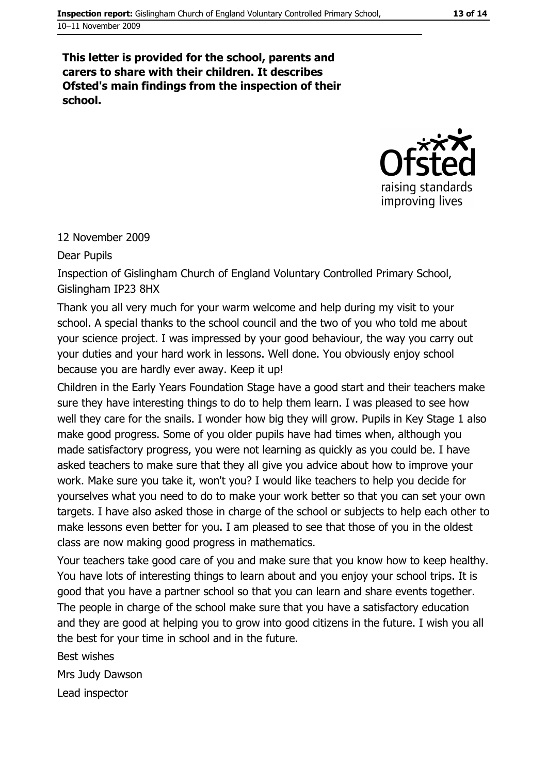#### This letter is provided for the school, parents and carers to share with their children. It describes Ofsted's main findings from the inspection of their school.



#### 12 November 2009

**Dear Pupils** 

Inspection of Gislingham Church of England Voluntary Controlled Primary School, Gislingham IP23 8HX

Thank you all very much for your warm welcome and help during my visit to your school. A special thanks to the school council and the two of you who told me about your science project. I was impressed by your good behaviour, the way you carry out your duties and your hard work in lessons. Well done. You obviously enjoy school because you are hardly ever away. Keep it up!

Children in the Early Years Foundation Stage have a good start and their teachers make sure they have interesting things to do to help them learn. I was pleased to see how well they care for the snails. I wonder how big they will grow. Pupils in Key Stage 1 also make good progress. Some of you older pupils have had times when, although you made satisfactory progress, you were not learning as guickly as you could be. I have asked teachers to make sure that they all give you advice about how to improve your work. Make sure you take it, won't you? I would like teachers to help you decide for yourselves what you need to do to make your work better so that you can set your own targets. I have also asked those in charge of the school or subjects to help each other to make lessons even better for you. I am pleased to see that those of you in the oldest class are now making good progress in mathematics.

Your teachers take good care of you and make sure that you know how to keep healthy. You have lots of interesting things to learn about and you enjoy your school trips. It is good that you have a partner school so that you can learn and share events together. The people in charge of the school make sure that you have a satisfactory education and they are good at helping you to grow into good citizens in the future. I wish you all the best for your time in school and in the future.

Best wishes

Mrs Judy Dawson

Lead inspector